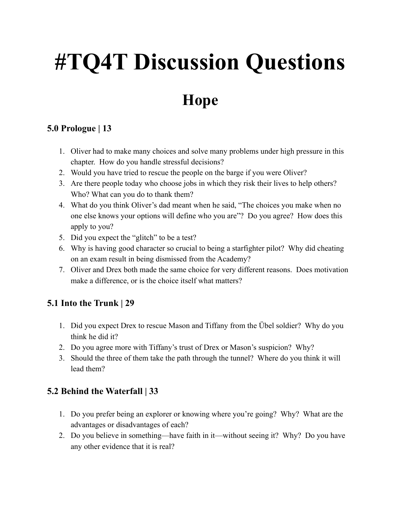# **#TQ4T Discussion Questions**

# **Hope**

# **5.0 Prologue | 13**

- 1. Oliver had to make many choices and solve many problems under high pressure in this chapter. How do you handle stressful decisions?
- 2. Would you have tried to rescue the people on the barge if you were Oliver?
- 3. Are there people today who choose jobs in which they risk their lives to help others? Who? What can you do to thank them?
- 4. What do you think Oliver's dad meant when he said, "The choices you make when no one else knows your options will define who you are"? Do you agree? How does this apply to you?
- 5. Did you expect the "glitch" to be a test?
- 6. Why is having good character so crucial to being a starfighter pilot? Why did cheating on an exam result in being dismissed from the Academy?
- 7. Oliver and Drex both made the same choice for very different reasons. Does motivation make a difference, or is the choice itself what matters?

# **5.1 Into the Trunk | 29**

- 1. Did you expect Drex to rescue Mason and Tiffany from the Übel soldier? Why do you think he did it?
- 2. Do you agree more with Tiffany's trust of Drex or Mason's suspicion? Why?
- 3. Should the three of them take the path through the tunnel? Where do you think it will lead them?

# **5.2 Behind the Waterfall | 33**

- 1. Do you prefer being an explorer or knowing where you're going? Why? What are the advantages or disadvantages of each?
- 2. Do you believe in something—have faith in it—without seeing it? Why? Do you have any other evidence that it is real?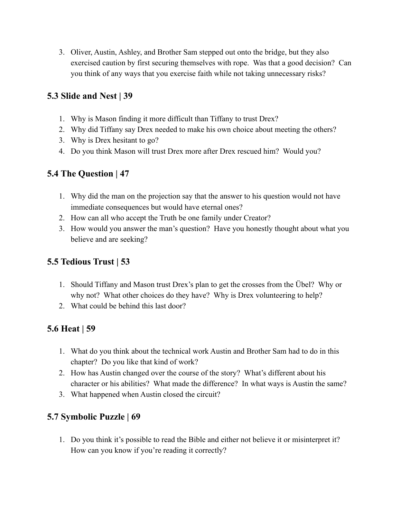3. Oliver, Austin, Ashley, and Brother Sam stepped out onto the bridge, but they also exercised caution by first securing themselves with rope. Was that a good decision? Can you think of any ways that you exercise faith while not taking unnecessary risks?

#### **5.3 Slide and Nest | 39**

- 1. Why is Mason finding it more difficult than Tiffany to trust Drex?
- 2. Why did Tiffany say Drex needed to make his own choice about meeting the others?
- 3. Why is Drex hesitant to go?
- 4. Do you think Mason will trust Drex more after Drex rescued him? Would you?

#### **5.4 The Question | 47**

- 1. Why did the man on the projection say that the answer to his question would not have immediate consequences but would have eternal ones?
- 2. How can all who accept the Truth be one family under Creator?
- 3. How would you answer the man's question? Have you honestly thought about what you believe and are seeking?

# **5.5 Tedious Trust | 53**

- 1. Should Tiffany and Mason trust Drex's plan to get the crosses from the Übel? Why or why not? What other choices do they have? Why is Drex volunteering to help?
- 2. What could be behind this last door?

# **5.6 Heat | 59**

- 1. What do you think about the technical work Austin and Brother Sam had to do in this chapter? Do you like that kind of work?
- 2. How has Austin changed over the course of the story? What's different about his character or his abilities? What made the difference? In what ways is Austin the same?
- 3. What happened when Austin closed the circuit?

# **5.7 Symbolic Puzzle | 69**

1. Do you think it's possible to read the Bible and either not believe it or misinterpret it? How can you know if you're reading it correctly?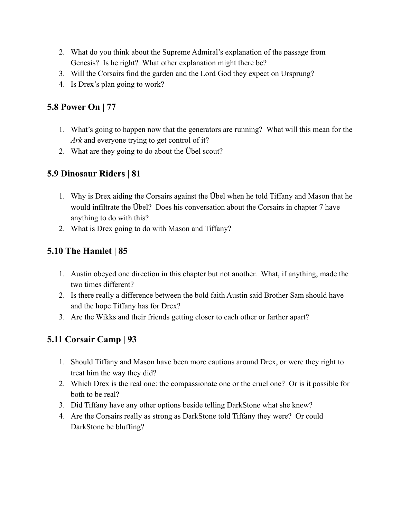- 2. What do you think about the Supreme Admiral's explanation of the passage from Genesis? Is he right? What other explanation might there be?
- 3. Will the Corsairs find the garden and the Lord God they expect on Ursprung?
- 4. Is Drex's plan going to work?

# **5.8 Power On | 77**

- 1. What's going to happen now that the generators are running? What will this mean for the *Ark* and everyone trying to get control of it?
- 2. What are they going to do about the Übel scout?

# **5.9 Dinosaur Riders | 81**

- 1. Why is Drex aiding the Corsairs against the Übel when he told Tiffany and Mason that he would infiltrate the Übel? Does his conversation about the Corsairs in chapter 7 have anything to do with this?
- 2. What is Drex going to do with Mason and Tiffany?

# **5.10 The Hamlet | 85**

- 1. Austin obeyed one direction in this chapter but not another. What, if anything, made the two times different?
- 2. Is there really a difference between the bold faith Austin said Brother Sam should have and the hope Tiffany has for Drex?
- 3. Are the Wikks and their friends getting closer to each other or farther apart?

# **5.11 Corsair Camp | 93**

- 1. Should Tiffany and Mason have been more cautious around Drex, or were they right to treat him the way they did?
- 2. Which Drex is the real one: the compassionate one or the cruel one? Or is it possible for both to be real?
- 3. Did Tiffany have any other options beside telling DarkStone what she knew?
- 4. Are the Corsairs really as strong as DarkStone told Tiffany they were? Or could DarkStone be bluffing?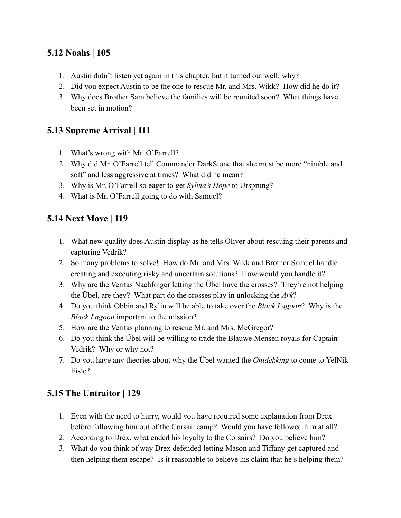# **5.12 Noahs | 105**

- 1. Austin didn't listen yet again in this chapter, but it turned out well; why?
- 2. Did you expect Austin to be the one to rescue Mr. and Mrs. Wikk? How did he do it?
- 3. Why does Brother Sam believe the families will be reunited soon? What things have been set in motion?

#### **5.13 Supreme Arrival | 111**

- 1. What's wrong with Mr. O'Farrell?
- 2. Why did Mr. O'Farrell tell Commander DarkStone that she must be more "nimble and soft" and less aggressive at times? What did he mean?
- 3. Why is Mr. O'Farrell so eager to get *Sylvia's Hope* to Ursprung?
- 4. What is Mr. O'Farrell going to do with Samuel?

#### **5.14 Next Move | 119**

- 1. What new quality does Austin display as he tells Oliver about rescuing their parents and capturing Vedrik?
- 2. So many problems to solve! How do Mr. and Mrs. Wikk and Brother Samuel handle creating and executing risky and uncertain solutions? How would you handle it?
- 3. Why are the Veritas Nachfolger letting the Übel have the crosses? They're not helping the Übel, are they? What part do the crosses play in unlocking the *Ark*?
- 4. Do you think Obbin and Rylin will be able to take over the *Black Lagoon*? Why is the *Black Lagoon* important to the mission?
- 5. How are the Veritas planning to rescue Mr. and Mrs. McGregor?
- 6. Do you think the Übel will be willing to trade the Blauwe Mensen royals for Captain Vedrik? Why or why not?
- 7. Do you have any theories about why the Übel wanted the *Ontdekking* to come to YelNik Eisle?

# **5.15 The Untraitor | 129**

- 1. Even with the need to hurry, would you have required some explanation from Drex before following him out of the Corsair camp? Would you have followed him at all?
- 2. According to Drex, what ended his loyalty to the Corsairs? Do you believe him?
- 3. What do you think of way Drex defended letting Mason and Tiffany get captured and then helping them escape? Is it reasonable to believe his claim that he's helping them?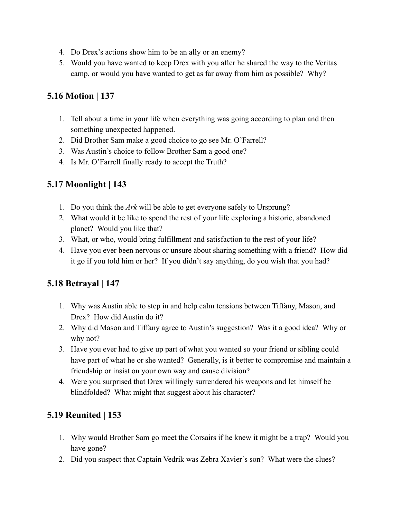- 4. Do Drex's actions show him to be an ally or an enemy?
- 5. Would you have wanted to keep Drex with you after he shared the way to the Veritas camp, or would you have wanted to get as far away from him as possible? Why?

#### **5.16 Motion | 137**

- 1. Tell about a time in your life when everything was going according to plan and then something unexpected happened.
- 2. Did Brother Sam make a good choice to go see Mr. O'Farrell?
- 3. Was Austin's choice to follow Brother Sam a good one?
- 4. Is Mr. O'Farrell finally ready to accept the Truth?

#### **5.17 Moonlight | 143**

- 1. Do you think the *Ark* will be able to get everyone safely to Ursprung?
- 2. What would it be like to spend the rest of your life exploring a historic, abandoned planet? Would you like that?
- 3. What, or who, would bring fulfillment and satisfaction to the rest of your life?
- 4. Have you ever been nervous or unsure about sharing something with a friend? How did it go if you told him or her? If you didn't say anything, do you wish that you had?

#### **5.18 Betrayal | 147**

- 1. Why was Austin able to step in and help calm tensions between Tiffany, Mason, and Drex? How did Austin do it?
- 2. Why did Mason and Tiffany agree to Austin's suggestion? Was it a good idea? Why or why not?
- 3. Have you ever had to give up part of what you wanted so your friend or sibling could have part of what he or she wanted? Generally, is it better to compromise and maintain a friendship or insist on your own way and cause division?
- 4. Were you surprised that Drex willingly surrendered his weapons and let himself be blindfolded? What might that suggest about his character?

# **5.19 Reunited | 153**

- 1. Why would Brother Sam go meet the Corsairs if he knew it might be a trap? Would you have gone?
- 2. Did you suspect that Captain Vedrik was Zebra Xavier's son? What were the clues?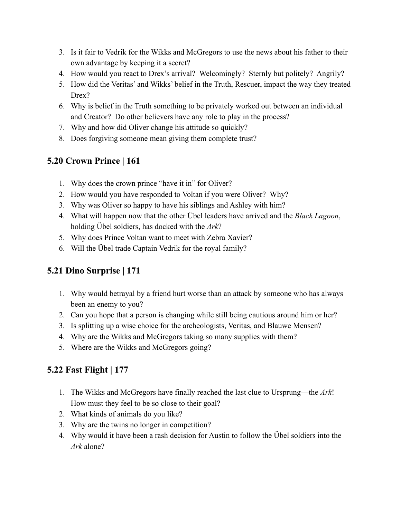- 3. Is it fair to Vedrik for the Wikks and McGregors to use the news about his father to their own advantage by keeping it a secret?
- 4. How would you react to Drex's arrival? Welcomingly? Sternly but politely? Angrily?
- 5. How did the Veritas' and Wikks' belief in the Truth, Rescuer, impact the way they treated Drex?
- 6. Why is belief in the Truth something to be privately worked out between an individual and Creator? Do other believers have any role to play in the process?
- 7. Why and how did Oliver change his attitude so quickly?
- 8. Does forgiving someone mean giving them complete trust?

#### **5.20 Crown Prince | 161**

- 1. Why does the crown prince "have it in" for Oliver?
- 2. How would you have responded to Voltan if you were Oliver? Why?
- 3. Why was Oliver so happy to have his siblings and Ashley with him?
- 4. What will happen now that the other Übel leaders have arrived and the *Black Lagoon*, holding Übel soldiers, has docked with the *Ark*?
- 5. Why does Prince Voltan want to meet with Zebra Xavier?
- 6. Will the Übel trade Captain Vedrik for the royal family?

# **5.21 Dino Surprise | 171**

- 1. Why would betrayal by a friend hurt worse than an attack by someone who has always been an enemy to you?
- 2. Can you hope that a person is changing while still being cautious around him or her?
- 3. Is splitting up a wise choice for the archeologists, Veritas, and Blauwe Mensen?
- 4. Why are the Wikks and McGregors taking so many supplies with them?
- 5. Where are the Wikks and McGregors going?

# **5.22 Fast Flight | 177**

- 1. The Wikks and McGregors have finally reached the last clue to Ursprung—the *Ark*! How must they feel to be so close to their goal?
- 2. What kinds of animals do you like?
- 3. Why are the twins no longer in competition?
- 4. Why would it have been a rash decision for Austin to follow the Übel soldiers into the *Ark* alone?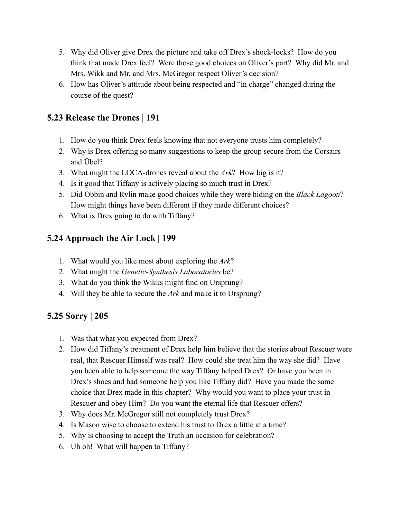- 5. Why did Oliver give Drex the picture and take off Drex's shock-locks? How do you think that made Drex feel? Were those good choices on Oliver's part? Why did Mr. and Mrs. Wikk and Mr. and Mrs. McGregor respect Oliver's decision?
- 6. How has Oliver's attitude about being respected and "in charge" changed during the course of the quest?

#### **5.23 Release the Drones | 191**

- 1. How do you think Drex feels knowing that not everyone trusts him completely?
- 2. Why is Drex offering so many suggestions to keep the group secure from the Corsairs and Übel?
- 3. What might the LOCA-drones reveal about the *Ark*? How big is it?
- 4. Is it good that Tiffany is actively placing so much trust in Drex?
- 5. Did Obbin and Rylin make good choices while they were hiding on the *Black Lagoon*? How might things have been different if they made different choices?
- 6. What is Drex going to do with Tiffany?

#### **5.24 Approach the Air Lock | 199**

- 1. What would you like most about exploring the *Ark*?
- 2. What might the *Genetic-Synthesis Laboratories* be?
- 3. What do you think the Wikks might find on Ursprung?
- 4. Will they be able to secure the *Ark* and make it to Ursprung?

# **5.25 Sorry | 205**

- 1. Was that what you expected from Drex?
- 2. How did Tiffany's treatment of Drex help him believe that the stories about Rescuer were real, that Rescuer Himself was real? How could she treat him the way she did? Have you been able to help someone the way Tiffany helped Drex? Or have you been in Drex's shoes and had someone help you like Tiffany did? Have you made the same choice that Drex made in this chapter? Why would you want to place your trust in Rescuer and obey Him? Do you want the eternal life that Rescuer offers?
- 3. Why does Mr. McGregor still not completely trust Drex?
- 4. Is Mason wise to choose to extend his trust to Drex a little at a time?
- 5. Why is choosing to accept the Truth an occasion for celebration?
- 6. Uh oh! What will happen to Tiffany?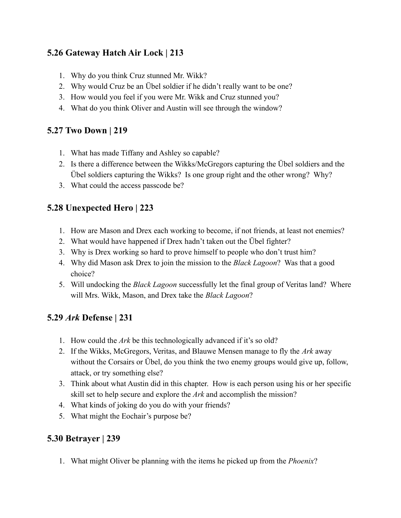# **5.26 Gateway Hatch Air Lock | 213**

- 1. Why do you think Cruz stunned Mr. Wikk?
- 2. Why would Cruz be an Übel soldier if he didn't really want to be one?
- 3. How would you feel if you were Mr. Wikk and Cruz stunned you?
- 4. What do you think Oliver and Austin will see through the window?

# **5.27 Two Down | 219**

- 1. What has made Tiffany and Ashley so capable?
- 2. Is there a difference between the Wikks/McGregors capturing the Übel soldiers and the Übel soldiers capturing the Wikks? Is one group right and the other wrong? Why?
- 3. What could the access passcode be?

# **5.28 Unexpected Hero | 223**

- 1. How are Mason and Drex each working to become, if not friends, at least not enemies?
- 2. What would have happened if Drex hadn't taken out the Übel fighter?
- 3. Why is Drex working so hard to prove himself to people who don't trust him?
- 4. Why did Mason ask Drex to join the mission to the *Black Lagoon*? Was that a good choice?
- 5. Will undocking the *Black Lagoon* successfully let the final group of Veritas land? Where will Mrs. Wikk, Mason, and Drex take the *Black Lagoon*?

# **5.29** *Ark* **Defense | 231**

- 1. How could the *Ark* be this technologically advanced if it's so old?
- 2. If the Wikks, McGregors, Veritas, and Blauwe Mensen manage to fly the *Ark* away without the Corsairs or Übel, do you think the two enemy groups would give up, follow, attack, or try something else?
- 3. Think about what Austin did in this chapter. How is each person using his or her specific skill set to help secure and explore the *Ark* and accomplish the mission?
- 4. What kinds of joking do you do with your friends?
- 5. What might the Eochair's purpose be?

# **5.30 Betrayer | 239**

1. What might Oliver be planning with the items he picked up from the *Phoenix*?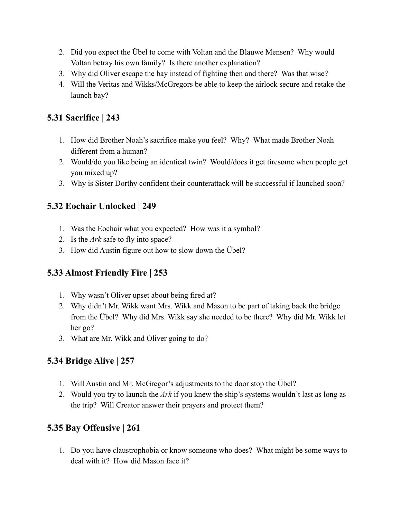- 2. Did you expect the Übel to come with Voltan and the Blauwe Mensen? Why would Voltan betray his own family? Is there another explanation?
- 3. Why did Oliver escape the bay instead of fighting then and there? Was that wise?
- 4. Will the Veritas and Wikks/McGregors be able to keep the airlock secure and retake the launch bay?

# **5.31 Sacrifice | 243**

- 1. How did Brother Noah's sacrifice make you feel? Why? What made Brother Noah different from a human?
- 2. Would/do you like being an identical twin? Would/does it get tiresome when people get you mixed up?
- 3. Why is Sister Dorthy confident their counterattack will be successful if launched soon?

# **5.32 Eochair Unlocked | 249**

- 1. Was the Eochair what you expected? How was it a symbol?
- 2. Is the *Ark* safe to fly into space?
- 3. How did Austin figure out how to slow down the Übel?

# **5.33 Almost Friendly Fire | 253**

- 1. Why wasn't Oliver upset about being fired at?
- 2. Why didn't Mr. Wikk want Mrs. Wikk and Mason to be part of taking back the bridge from the Übel? Why did Mrs. Wikk say she needed to be there? Why did Mr. Wikk let her go?
- 3. What are Mr. Wikk and Oliver going to do?

#### **5.34 Bridge Alive | 257**

- 1. Will Austin and Mr. McGregor's adjustments to the door stop the Übel?
- 2. Would you try to launch the *Ark* if you knew the ship's systems wouldn't last as long as the trip? Will Creator answer their prayers and protect them?

#### **5.35 Bay Offensive | 261**

1. Do you have claustrophobia or know someone who does? What might be some ways to deal with it? How did Mason face it?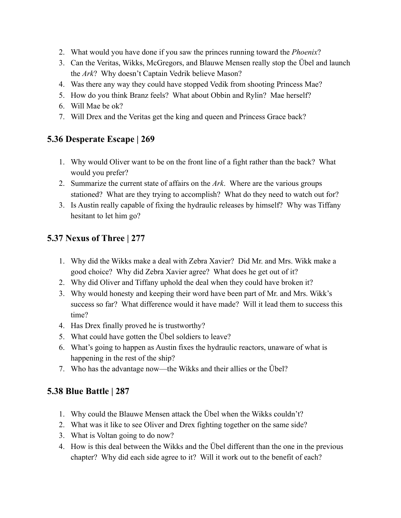- 2. What would you have done if you saw the princes running toward the *Phoenix*?
- 3. Can the Veritas, Wikks, McGregors, and Blauwe Mensen really stop the Übel and launch the *Ark*? Why doesn't Captain Vedrik believe Mason?
- 4. Was there any way they could have stopped Vedik from shooting Princess Mae?
- 5. How do you think Branz feels? What about Obbin and Rylin? Mae herself?
- 6. Will Mae be ok?
- 7. Will Drex and the Veritas get the king and queen and Princess Grace back?

#### **5.36 Desperate Escape | 269**

- 1. Why would Oliver want to be on the front line of a fight rather than the back? What would you prefer?
- 2. Summarize the current state of affairs on the *Ark*. Where are the various groups stationed? What are they trying to accomplish? What do they need to watch out for?
- 3. Is Austin really capable of fixing the hydraulic releases by himself? Why was Tiffany hesitant to let him go?

# **5.37 Nexus of Three | 277**

- 1. Why did the Wikks make a deal with Zebra Xavier? Did Mr. and Mrs. Wikk make a good choice? Why did Zebra Xavier agree? What does he get out of it?
- 2. Why did Oliver and Tiffany uphold the deal when they could have broken it?
- 3. Why would honesty and keeping their word have been part of Mr. and Mrs. Wikk's success so far? What difference would it have made? Will it lead them to success this time?
- 4. Has Drex finally proved he is trustworthy?
- 5. What could have gotten the Übel soldiers to leave?
- 6. What's going to happen as Austin fixes the hydraulic reactors, unaware of what is happening in the rest of the ship?
- 7. Who has the advantage now—the Wikks and their allies or the Übel?

# **5.38 Blue Battle | 287**

- 1. Why could the Blauwe Mensen attack the Übel when the Wikks couldn't?
- 2. What was it like to see Oliver and Drex fighting together on the same side?
- 3. What is Voltan going to do now?
- 4. How is this deal between the Wikks and the Übel different than the one in the previous chapter? Why did each side agree to it? Will it work out to the benefit of each?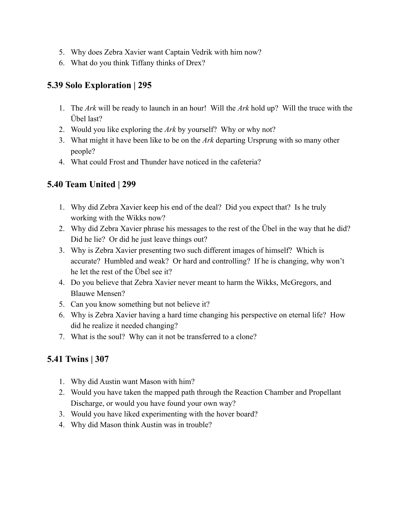- 5. Why does Zebra Xavier want Captain Vedrik with him now?
- 6. What do you think Tiffany thinks of Drex?

#### **5.39 Solo Exploration | 295**

- 1. The *Ark* will be ready to launch in an hour! Will the *Ark* hold up? Will the truce with the Übel last?
- 2. Would you like exploring the *Ark* by yourself? Why or why not?
- 3. What might it have been like to be on the *Ark* departing Ursprung with so many other people?
- 4. What could Frost and Thunder have noticed in the cafeteria?

# **5.40 Team United | 299**

- 1. Why did Zebra Xavier keep his end of the deal? Did you expect that? Is he truly working with the Wikks now?
- 2. Why did Zebra Xavier phrase his messages to the rest of the Übel in the way that he did? Did he lie? Or did he just leave things out?
- 3. Why is Zebra Xavier presenting two such different images of himself? Which is accurate? Humbled and weak? Or hard and controlling? If he is changing, why won't he let the rest of the Übel see it?
- 4. Do you believe that Zebra Xavier never meant to harm the Wikks, McGregors, and Blauwe Mensen?
- 5. Can you know something but not believe it?
- 6. Why is Zebra Xavier having a hard time changing his perspective on eternal life? How did he realize it needed changing?
- 7. What is the soul? Why can it not be transferred to a clone?

# **5.41 Twins | 307**

- 1. Why did Austin want Mason with him?
- 2. Would you have taken the mapped path through the Reaction Chamber and Propellant Discharge, or would you have found your own way?
- 3. Would you have liked experimenting with the hover board?
- 4. Why did Mason think Austin was in trouble?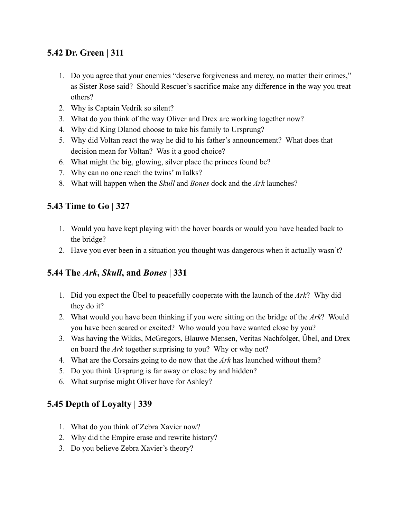# **5.42 Dr. Green | 311**

- 1. Do you agree that your enemies "deserve forgiveness and mercy, no matter their crimes," as Sister Rose said? Should Rescuer's sacrifice make any difference in the way you treat others?
- 2. Why is Captain Vedrik so silent?
- 3. What do you think of the way Oliver and Drex are working together now?
- 4. Why did King Dlanod choose to take his family to Ursprung?
- 5. Why did Voltan react the way he did to his father's announcement? What does that decision mean for Voltan? Was it a good choice?
- 6. What might the big, glowing, silver place the princes found be?
- 7. Why can no one reach the twins' mTalks?
- 8. What will happen when the *Skull* and *Bones* dock and the *Ark* launches?

# **5.43 Time to Go | 327**

- 1. Would you have kept playing with the hover boards or would you have headed back to the bridge?
- 2. Have you ever been in a situation you thought was dangerous when it actually wasn't?

# **5.44 The** *Ark***,** *Skull***, and** *Bones* **| 331**

- 1. Did you expect the Übel to peacefully cooperate with the launch of the *Ark*? Why did they do it?
- 2. What would you have been thinking if you were sitting on the bridge of the *Ark*? Would you have been scared or excited? Who would you have wanted close by you?
- 3. Was having the Wikks, McGregors, Blauwe Mensen, Veritas Nachfolger, Übel, and Drex on board the *Ark* together surprising to you? Why or why not?
- 4. What are the Corsairs going to do now that the *Ark* has launched without them?
- 5. Do you think Ursprung is far away or close by and hidden?
- 6. What surprise might Oliver have for Ashley?

# **5.45 Depth of Loyalty | 339**

- 1. What do you think of Zebra Xavier now?
- 2. Why did the Empire erase and rewrite history?
- 3. Do you believe Zebra Xavier's theory?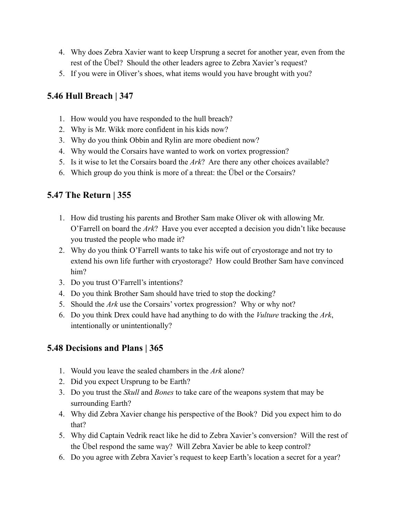- 4. Why does Zebra Xavier want to keep Ursprung a secret for another year, even from the rest of the Übel? Should the other leaders agree to Zebra Xavier's request?
- 5. If you were in Oliver's shoes, what items would you have brought with you?

# **5.46 Hull Breach | 347**

- 1. How would you have responded to the hull breach?
- 2. Why is Mr. Wikk more confident in his kids now?
- 3. Why do you think Obbin and Rylin are more obedient now?
- 4. Why would the Corsairs have wanted to work on vortex progression?
- 5. Is it wise to let the Corsairs board the *Ark*? Are there any other choices available?
- 6. Which group do you think is more of a threat: the Übel or the Corsairs?

# **5.47 The Return | 355**

- 1. How did trusting his parents and Brother Sam make Oliver ok with allowing Mr. O'Farrell on board the *Ark*? Have you ever accepted a decision you didn't like because you trusted the people who made it?
- 2. Why do you think O'Farrell wants to take his wife out of cryostorage and not try to extend his own life further with cryostorage? How could Brother Sam have convinced him?
- 3. Do you trust O'Farrell's intentions?
- 4. Do you think Brother Sam should have tried to stop the docking?
- 5. Should the *Ark* use the Corsairs' vortex progression? Why or why not?
- 6. Do you think Drex could have had anything to do with the *Vulture* tracking the *Ark*, intentionally or unintentionally?

# **5.48 Decisions and Plans | 365**

- 1. Would you leave the sealed chambers in the *Ark* alone?
- 2. Did you expect Ursprung to be Earth?
- 3. Do you trust the *Skull* and *Bones* to take care of the weapons system that may be surrounding Earth?
- 4. Why did Zebra Xavier change his perspective of the Book? Did you expect him to do that?
- 5. Why did Captain Vedrik react like he did to Zebra Xavier's conversion? Will the rest of the Übel respond the same way? Will Zebra Xavier be able to keep control?
- 6. Do you agree with Zebra Xavier's request to keep Earth's location a secret for a year?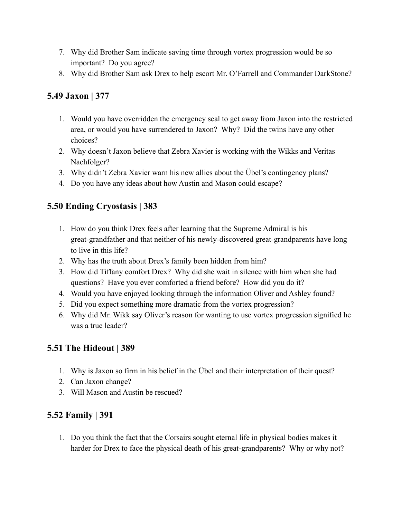- 7. Why did Brother Sam indicate saving time through vortex progression would be so important? Do you agree?
- 8. Why did Brother Sam ask Drex to help escort Mr. O'Farrell and Commander DarkStone?

# **5.49 Jaxon | 377**

- 1. Would you have overridden the emergency seal to get away from Jaxon into the restricted area, or would you have surrendered to Jaxon? Why? Did the twins have any other choices?
- 2. Why doesn't Jaxon believe that Zebra Xavier is working with the Wikks and Veritas Nachfolger?
- 3. Why didn't Zebra Xavier warn his new allies about the Übel's contingency plans?
- 4. Do you have any ideas about how Austin and Mason could escape?

# **5.50 Ending Cryostasis | 383**

- 1. How do you think Drex feels after learning that the Supreme Admiral is his great-grandfather and that neither of his newly-discovered great-grandparents have long to live in this life?
- 2. Why has the truth about Drex's family been hidden from him?
- 3. How did Tiffany comfort Drex? Why did she wait in silence with him when she had questions? Have you ever comforted a friend before? How did you do it?
- 4. Would you have enjoyed looking through the information Oliver and Ashley found?
- 5. Did you expect something more dramatic from the vortex progression?
- 6. Why did Mr. Wikk say Oliver's reason for wanting to use vortex progression signified he was a true leader?

# **5.51 The Hideout | 389**

- 1. Why is Jaxon so firm in his belief in the Übel and their interpretation of their quest?
- 2. Can Jaxon change?
- 3. Will Mason and Austin be rescued?

# **5.52 Family | 391**

1. Do you think the fact that the Corsairs sought eternal life in physical bodies makes it harder for Drex to face the physical death of his great-grandparents? Why or why not?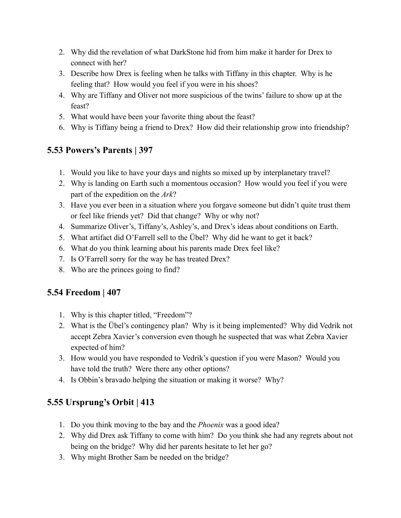- 2. Why did the revelation of what DarkStone hid from him make it harder for Drex to connect with her?
- 3. Describe how Drex is feeling when he talks with Tiffany in this chapter. Why is he feeling that? How would you feel if you were in his shoes?
- 4. Why are Tiffany and Oliver not more suspicious of the twins' failure to show up at the feast?
- 5. What would have been your favorite thing about the feast?
- 6. Why is Tiffany being a friend to Drex? How did their relationship grow into friendship?

#### **5.53 Powers's Parents | 397**

- 1. Would you like to have your days and nights so mixed up by interplanetary travel?
- 2. Why is landing on Earth such a momentous occasion? How would you feel if you were part of the expedition on the *Ark*?
- 3. Have you ever been in a situation where you forgave someone but didn't quite trust them or feel like friends yet? Did that change? Why or why not?
- 4. Summarize Oliver's, Tiffany's, Ashley's, and Drex's ideas about conditions on Earth.
- 5. What artifact did O'Farrell sell to the Übel? Why did he want to get it back?
- 6. What do you think learning about his parents made Drex feel like?
- 7. Is O'Farrell sorry for the way he has treated Drex?
- 8. Who are the princes going to find?

# **5.54 Freedom | 407**

- 1. Why is this chapter titled, "Freedom"?
- 2. What is the Übel's contingency plan? Why is it being implemented? Why did Vedrik not accept Zebra Xavier's conversion even though he suspected that was what Zebra Xavier expected of him?
- 3. How would you have responded to Vedrik's question if you were Mason? Would you have told the truth? Were there any other options?
- 4. Is Obbin's bravado helping the situation or making it worse? Why?

# **5.55 Ursprung's Orbit | 413**

- 1. Do you think moving to the bay and the *Phoenix* was a good idea?
- 2. Why did Drex ask Tiffany to come with him? Do you think she had any regrets about not being on the bridge? Why did her parents hesitate to let her go?
- 3. Why might Brother Sam be needed on the bridge?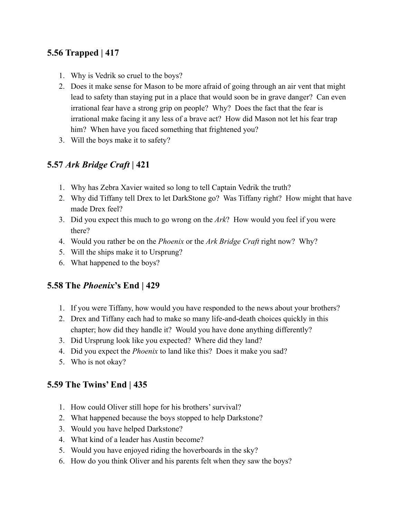# **5.56 Trapped | 417**

- 1. Why is Vedrik so cruel to the boys?
- 2. Does it make sense for Mason to be more afraid of going through an air vent that might lead to safety than staying put in a place that would soon be in grave danger? Can even irrational fear have a strong grip on people? Why? Does the fact that the fear is irrational make facing it any less of a brave act? How did Mason not let his fear trap him? When have you faced something that frightened you?
- 3. Will the boys make it to safety?

#### **5.57** *Ark Bridge Craft* **| 421**

- 1. Why has Zebra Xavier waited so long to tell Captain Vedrik the truth?
- 2. Why did Tiffany tell Drex to let DarkStone go? Was Tiffany right? How might that have made Drex feel?
- 3. Did you expect this much to go wrong on the *Ark*? How would you feel if you were there?
- 4. Would you rather be on the *Phoenix* or the *Ark Bridge Craft* right now? Why?
- 5. Will the ships make it to Ursprung?
- 6. What happened to the boys?

#### **5.58 The** *Phoenix***'s End | 429**

- 1. If you were Tiffany, how would you have responded to the news about your brothers?
- 2. Drex and Tiffany each had to make so many life-and-death choices quickly in this chapter; how did they handle it? Would you have done anything differently?
- 3. Did Ursprung look like you expected? Where did they land?
- 4. Did you expect the *Phoenix* to land like this? Does it make you sad?
- 5. Who is not okay?

#### **5.59 The Twins' End | 435**

- 1. How could Oliver still hope for his brothers' survival?
- 2. What happened because the boys stopped to help Darkstone?
- 3. Would you have helped Darkstone?
- 4. What kind of a leader has Austin become?
- 5. Would you have enjoyed riding the hoverboards in the sky?
- 6. How do you think Oliver and his parents felt when they saw the boys?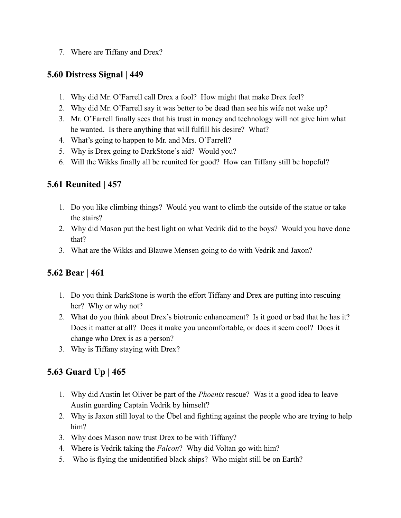7. Where are Tiffany and Drex?

#### **5.60 Distress Signal | 449**

- 1. Why did Mr. O'Farrell call Drex a fool? How might that make Drex feel?
- 2. Why did Mr. O'Farrell say it was better to be dead than see his wife not wake up?
- 3. Mr. O'Farrell finally sees that his trust in money and technology will not give him what he wanted. Is there anything that will fulfill his desire? What?
- 4. What's going to happen to Mr. and Mrs. O'Farrell?
- 5. Why is Drex going to DarkStone's aid? Would you?
- 6. Will the Wikks finally all be reunited for good? How can Tiffany still be hopeful?

# **5.61 Reunited | 457**

- 1. Do you like climbing things? Would you want to climb the outside of the statue or take the stairs?
- 2. Why did Mason put the best light on what Vedrik did to the boys? Would you have done that?
- 3. What are the Wikks and Blauwe Mensen going to do with Vedrik and Jaxon?

# **5.62 Bear | 461**

- 1. Do you think DarkStone is worth the effort Tiffany and Drex are putting into rescuing her? Why or why not?
- 2. What do you think about Drex's biotronic enhancement? Is it good or bad that he has it? Does it matter at all? Does it make you uncomfortable, or does it seem cool? Does it change who Drex is as a person?
- 3. Why is Tiffany staying with Drex?

# **5.63 Guard Up | 465**

- 1. Why did Austin let Oliver be part of the *Phoenix* rescue? Was it a good idea to leave Austin guarding Captain Vedrik by himself?
- 2. Why is Jaxon still loyal to the Übel and fighting against the people who are trying to help him?
- 3. Why does Mason now trust Drex to be with Tiffany?
- 4. Where is Vedrik taking the *Falcon*? Why did Voltan go with him?
- 5. Who is flying the unidentified black ships? Who might still be on Earth?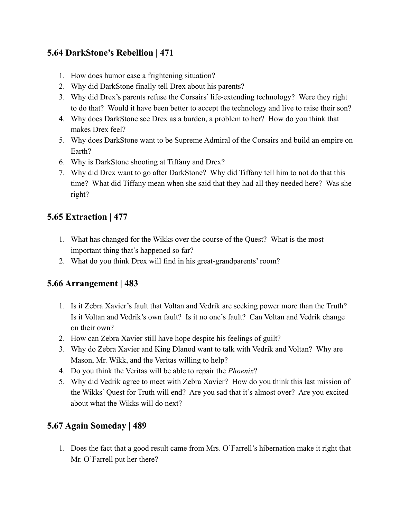# **5.64 DarkStone's Rebellion | 471**

- 1. How does humor ease a frightening situation?
- 2. Why did DarkStone finally tell Drex about his parents?
- 3. Why did Drex's parents refuse the Corsairs' life-extending technology? Were they right to do that? Would it have been better to accept the technology and live to raise their son?
- 4. Why does DarkStone see Drex as a burden, a problem to her? How do you think that makes Drex feel?
- 5. Why does DarkStone want to be Supreme Admiral of the Corsairs and build an empire on Earth?
- 6. Why is DarkStone shooting at Tiffany and Drex?
- 7. Why did Drex want to go after DarkStone? Why did Tiffany tell him to not do that this time? What did Tiffany mean when she said that they had all they needed here? Was she right?

#### **5.65 Extraction | 477**

- 1. What has changed for the Wikks over the course of the Quest? What is the most important thing that's happened so far?
- 2. What do you think Drex will find in his great-grandparents' room?

#### **5.66 Arrangement | 483**

- 1. Is it Zebra Xavier's fault that Voltan and Vedrik are seeking power more than the Truth? Is it Voltan and Vedrik's own fault? Is it no one's fault? Can Voltan and Vedrik change on their own?
- 2. How can Zebra Xavier still have hope despite his feelings of guilt?
- 3. Why do Zebra Xavier and King Dlanod want to talk with Vedrik and Voltan? Why are Mason, Mr. Wikk, and the Veritas willing to help?
- 4. Do you think the Veritas will be able to repair the *Phoenix*?
- 5. Why did Vedrik agree to meet with Zebra Xavier? How do you think this last mission of the Wikks' Quest for Truth will end? Are you sad that it's almost over? Are you excited about what the Wikks will do next?

# **5.67 Again Someday | 489**

1. Does the fact that a good result came from Mrs. O'Farrell's hibernation make it right that Mr. O'Farrell put her there?